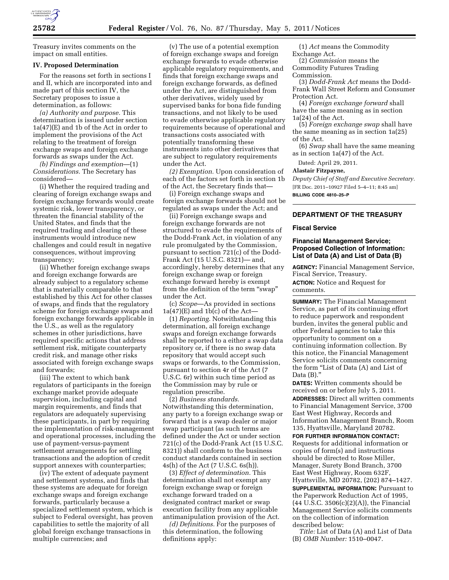

Treasury invites comments on the impact on small entities.

#### **IV. Proposed Determination**

For the reasons set forth in sections I and II, which are incorporated into and made part of this section IV, the Secretary proposes to issue a determination, as follows:

*(a) Authority and purpose.* This determination is issued under section 1a(47)(E) and 1b of the Act in order to implement the provisions of the Act relating to the treatment of foreign exchange swaps and foreign exchange forwards as swaps under the Act.

*(b) Findings and exemption*—(1) *Considerations.* The Secretary has considered—

(i) Whether the required trading and clearing of foreign exchange swaps and foreign exchange forwards would create systemic risk, lower transparency, or threaten the financial stability of the United States, and finds that the required trading and clearing of these instruments would introduce new challenges and could result in negative consequences, without improving transparency;

(ii) Whether foreign exchange swaps and foreign exchange forwards are already subject to a regulatory scheme that is materially comparable to that established by this Act for other classes of swaps, and finds that the regulatory scheme for foreign exchange swaps and foreign exchange forwards applicable in the U.S., as well as the regulatory schemes in other jurisdictions, have required specific actions that address settlement risk, mitigate counterparty credit risk, and manage other risks associated with foreign exchange swaps and forwards;

(iii) The extent to which bank regulators of participants in the foreign exchange market provide adequate supervision, including capital and margin requirements, and finds that regulators are adequately supervising these participants, in part by requiring the implementation of risk-management and operational processes, including the use of payment-versus-payment settlement arrangements for settling transactions and the adoption of credit support annexes with counterparties;

(iv) The extent of adequate payment and settlement systems, and finds that these systems are adequate for foreign exchange swaps and foreign exchange forwards, particularly because a specialized settlement system, which is subject to Federal oversight, has proven capabilities to settle the majority of all global foreign exchange transactions in multiple currencies; and

(v) The use of a potential exemption of foreign exchange swaps and foreign exchange forwards to evade otherwise applicable regulatory requirements, and finds that foreign exchange swaps and foreign exchange forwards, as defined under the Act, are distinguished from other derivatives, widely used by supervised banks for bona fide funding transactions, and not likely to be used to evade otherwise applicable regulatory requirements because of operational and transactions costs associated with potentially transforming these instruments into other derivatives that are subject to regulatory requirements under the Act.

*(2) Exemption.* Upon consideration of each of the factors set forth in section 1b of the Act, the Secretary finds that—

(i) Foreign exchange swaps and foreign exchange forwards should not be regulated as swaps under the Act; and

(ii) Foreign exchange swaps and foreign exchange forwards are not structured to evade the requirements of the Dodd-Frank Act, in violation of any rule promulgated by the Commission, pursuant to section 721(c) of the Dodd-Frank Act (15 U.S.C. 8321)— and, accordingly, hereby determines that any foreign exchange swap or foreign exchange forward hereby is exempt from the definition of the term "swap" under the Act.

(c) *Scope*—As provided in sections  $1a(47)$ (E) and  $1b(c)$  of the Act-

(1) *Reporting.* Notwithstanding this determination, all foreign exchange swaps and foreign exchange forwards shall be reported to a either a swap data repository or, if there is no swap data repository that would accept such swaps or forwards, to the Commission, pursuant to section 4r of the Act (7 U.S.C. 6r) within such time period as the Commission may by rule or regulation prescribe.

(2) *Business standards.*  Notwithstanding this determination, any party to a foreign exchange swap or forward that is a swap dealer or major swap participant (as such terms are defined under the Act or under section 721(c) of the Dodd-Frank Act (15 U.S.C. 8321)) shall conform to the business conduct standards contained in section 4s(h) of the Act (7 U.S.C. 6s(h)).

(3) *Effect of determination.* This determination shall not exempt any foreign exchange swap or foreign exchange forward traded on a designated contract market or swap execution facility from any applicable antimanipulation provision of the Act.

*(d) Definitions.* For the purposes of this determination, the following definitions apply:

(1) *Act* means the Commodity Exchange Act.

(2) *Commission* means the Commodity Futures Trading Commission.

(3) *Dodd-Frank Act* means the Dodd-Frank Wall Street Reform and Consumer Protection Act.

(4) *Foreign exchange forward* shall have the same meaning as in section 1a(24) of the Act.

(5) *Foreign exchange swap* shall have the same meaning as in section 1a(25) of the Act.

(6) *Swap* shall have the same meaning as in section 1a(47) of the Act.

Dated: April 29, 2011.

#### **Alastair Fitzpayne,**

*Deputy Chief of Staff and Executive Secretary.*  [FR Doc. 2011–10927 Filed 5–4–11; 8:45 am] **BILLING CODE 4810–25–P** 

**DEPARTMENT OF THE TREASURY** 

#### **Fiscal Service**

## **Financial Management Service; Proposed Collection of Information: List of Data (A) and List of Data (B)**

**AGENCY:** Financial Management Service, Fiscal Service, Treasury.

**ACTION:** Notice and Request for comments.

**SUMMARY:** The Financial Management Service, as part of its continuing effort to reduce paperwork and respondent burden, invites the general public and other Federal agencies to take this opportunity to comment on a continuing information collection. By this notice, the Financial Management Service solicits comments concerning the form "List of Data (A) and List of Data  $(B)$ .'

**DATES:** Written comments should be received on or before July 5, 2011. **ADDRESSES:** Direct all written comments to Financial Management Service, 3700 East West Highway, Records and Information Management Branch, Room 135, Hyattsville, Maryland 20782.

**FOR FURTHER INFORMATION CONTACT:**  Requests for additional information or copies of form(s) and instructions should be directed to Rose Miller, Manager, Surety Bond Branch, 3700 East West Highway, Room 632F, Hyattsville, MD 20782, (202) 874–1427.

**SUPPLEMENTAL INFORMATION: Pursuant to** the Paperwork Reduction Act of 1995,  $(44 \, \text{U}.\bar{\text{S}}.\text{C}.\, 3506(c)(2)(\text{A})),$  the Financial Management Service solicits comments on the collection of information described below:

*Title:* List of Data (A) and List of Data (B) *OMB Number:* 1510–0047.